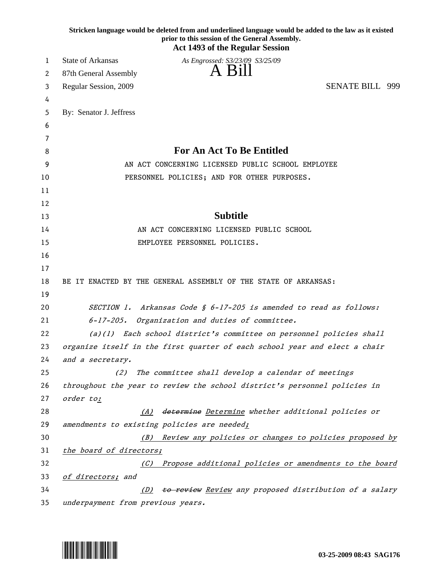|    | Stricken language would be deleted from and underlined language would be added to the law as it existed<br>prior to this session of the General Assembly.<br><b>Act 1493 of the Regular Session</b> |
|----|-----------------------------------------------------------------------------------------------------------------------------------------------------------------------------------------------------|
| 1  | State of Arkansas<br>As Engrossed: S3/23/09 S3/25/09                                                                                                                                                |
| 2  | A Bill<br>87th General Assembly                                                                                                                                                                     |
| 3  | <b>SENATE BILL 999</b><br>Regular Session, 2009                                                                                                                                                     |
| 4  |                                                                                                                                                                                                     |
| 5  | By: Senator J. Jeffress                                                                                                                                                                             |
| 6  |                                                                                                                                                                                                     |
| 7  |                                                                                                                                                                                                     |
| 8  | <b>For An Act To Be Entitled</b>                                                                                                                                                                    |
| 9  | AN ACT CONCERNING LICENSED PUBLIC SCHOOL EMPLOYEE                                                                                                                                                   |
| 10 | PERSONNEL POLICIES; AND FOR OTHER PURPOSES.                                                                                                                                                         |
| 11 |                                                                                                                                                                                                     |
| 12 |                                                                                                                                                                                                     |
| 13 | <b>Subtitle</b>                                                                                                                                                                                     |
| 14 | AN ACT CONCERNING LICENSED PUBLIC SCHOOL                                                                                                                                                            |
| 15 | EMPLOYEE PERSONNEL POLICIES.                                                                                                                                                                        |
| 16 |                                                                                                                                                                                                     |
| 17 |                                                                                                                                                                                                     |
| 18 | BE IT ENACTED BY THE GENERAL ASSEMBLY OF THE STATE OF ARKANSAS:                                                                                                                                     |
| 19 |                                                                                                                                                                                                     |
| 20 | SECTION 1. Arkansas Code § 6-17-205 is amended to read as follows:                                                                                                                                  |
| 21 | $6 - 17 - 205$ .<br>Organization and duties of committee.                                                                                                                                           |
| 22 | $(a)(1)$ Each school district's committee on personnel policies shall                                                                                                                               |
| 23 | organize itself in the first quarter of each school year and elect a chair                                                                                                                          |
| 24 | and a secretary.                                                                                                                                                                                    |
| 25 | The committee shall develop a calendar of meetings<br>(2)                                                                                                                                           |
| 26 | throughout the year to review the school district's personnel policies in                                                                                                                           |
| 27 | order to:                                                                                                                                                                                           |
| 28 | determine Determine whether additional policies or<br>(A)                                                                                                                                           |
| 29 | amendments to existing policies are needed;                                                                                                                                                         |
| 30 | (B) Review any policies or changes to policies proposed by                                                                                                                                          |
| 31 | the board of directors;                                                                                                                                                                             |
| 32 | Propose additional policies or amendments to the board<br>(C)                                                                                                                                       |
| 33 | of directors; and                                                                                                                                                                                   |
| 34 | to review Review any proposed distribution of a salary<br>(D)                                                                                                                                       |
| 35 | underpayment from previous years.                                                                                                                                                                   |